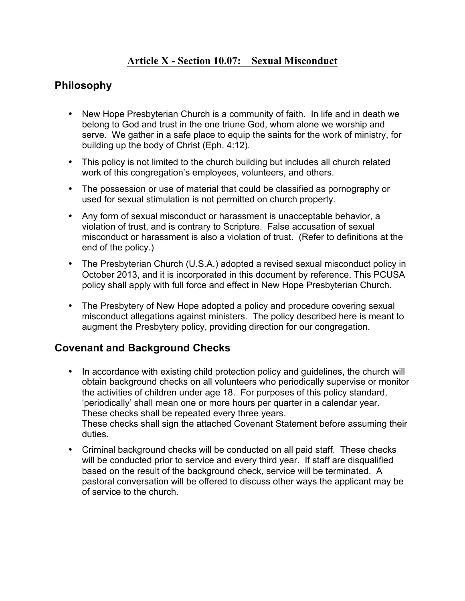## **Article X - Section 10.07: Sexual Misconduct**

#### **Philosophy**

- New Hope Presbyterian Church is a community of faith. In life and in death we belong to God and trust in the one triune God, whom alone we worship and serve. We gather in a safe place to equip the saints for the work of ministry, for building up the body of Christ (Eph. 4:12).
- This policy is not limited to the church building but includes all church related work of this congregation's employees, volunteers, and others.
- The possession or use of material that could be classified as pornography or used for sexual stimulation is not permitted on church property.
- Any form of sexual misconduct or harassment is unacceptable behavior, a violation of trust, and is contrary to Scripture. False accusation of sexual misconduct or harassment is also a violation of trust. (Refer to definitions at the end of the policy.)
- The Presbyterian Church (U.S.A.) adopted a revised sexual misconduct policy in October 2013, and it is incorporated in this document by reference. This PCUSA policy shall apply with full force and effect in New Hope Presbyterian Church.
- The Presbytery of New Hope adopted a policy and procedure covering sexual misconduct allegations against ministers. The policy described here is meant to augment the Presbytery policy, providing direction for our congregation.

#### **Covenant and Background Checks**

- In accordance with existing child protection policy and guidelines, the church will obtain background checks on all volunteers who periodically supervise or monitor the activities of children under age 18. For purposes of this policy standard, 'periodically' shall mean one or more hours per quarter in a calendar year. These checks shall be repeated every three years. These checks shall sign the attached Covenant Statement before assuming their duties.
- Criminal background checks will be conducted on all paid staff. These checks will be conducted prior to service and every third year*.* If staff are disqualified based on the result of the background check, service will be terminated. A pastoral conversation will be offered to discuss other ways the applicant may be of service to the church.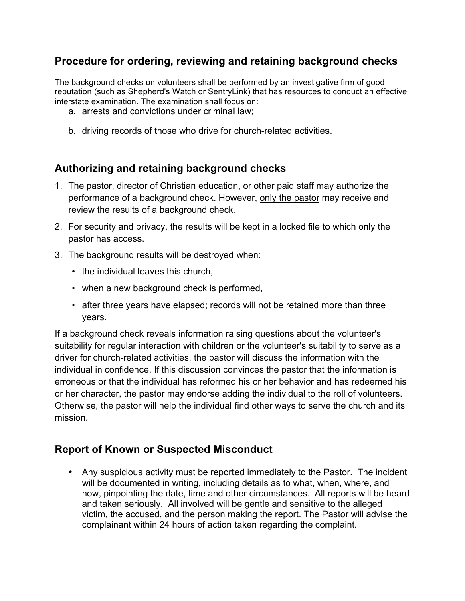## **Procedure for ordering, reviewing and retaining background checks**

The background checks on volunteers shall be performed by an investigative firm of good reputation (such as Shepherd's Watch or SentryLink) that has resources to conduct an effective interstate examination. The examination shall focus on:

- a. arrests and convictions under criminal law;
- b. driving records of those who drive for church-related activities.

#### **Authorizing and retaining background checks**

- 1. The pastor, director of Christian education, or other paid staff may authorize the performance of a background check. However, only the pastor may receive and review the results of a background check.
- 2. For security and privacy, the results will be kept in a locked file to which only the pastor has access.
- 3. The background results will be destroyed when:
	- the individual leaves this church,
	- when a new background check is performed,
	- after three years have elapsed; records will not be retained more than three years.

If a background check reveals information raising questions about the volunteer's suitability for regular interaction with children or the volunteer's suitability to serve as a driver for church-related activities, the pastor will discuss the information with the individual in confidence. If this discussion convinces the pastor that the information is erroneous or that the individual has reformed his or her behavior and has redeemed his or her character, the pastor may endorse adding the individual to the roll of volunteers. Otherwise, the pastor will help the individual find other ways to serve the church and its mission.

#### **Report of Known or Suspected Misconduct**

• Any suspicious activity must be reported immediately to the Pastor. The incident will be documented in writing, including details as to what, when, where, and how, pinpointing the date, time and other circumstances. All reports will be heard and taken seriously. All involved will be gentle and sensitive to the alleged victim, the accused, and the person making the report. The Pastor will advise the complainant within 24 hours of action taken regarding the complaint.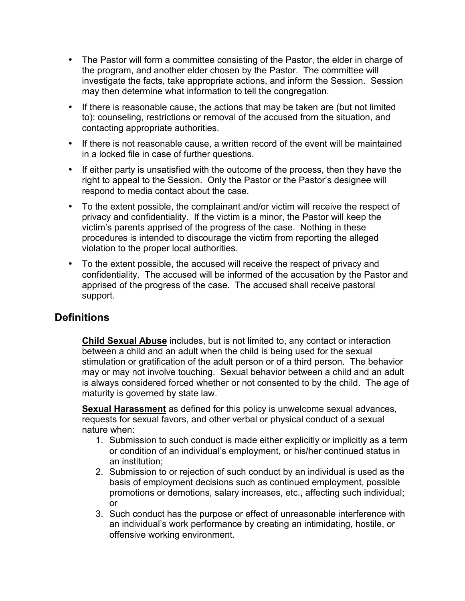- The Pastor will form a committee consisting of the Pastor, the elder in charge of the program, and another elder chosen by the Pastor. The committee will investigate the facts, take appropriate actions, and inform the Session. Session may then determine what information to tell the congregation.
- If there is reasonable cause, the actions that may be taken are (but not limited to): counseling, restrictions or removal of the accused from the situation, and contacting appropriate authorities.
- If there is not reasonable cause, a written record of the event will be maintained in a locked file in case of further questions.
- If either party is unsatisfied with the outcome of the process, then they have the right to appeal to the Session. Only the Pastor or the Pastor's designee will respond to media contact about the case.
- To the extent possible, the complainant and/or victim will receive the respect of privacy and confidentiality. If the victim is a minor, the Pastor will keep the victim's parents apprised of the progress of the case. Nothing in these procedures is intended to discourage the victim from reporting the alleged violation to the proper local authorities.
- To the extent possible, the accused will receive the respect of privacy and confidentiality. The accused will be informed of the accusation by the Pastor and apprised of the progress of the case. The accused shall receive pastoral support.

#### **Definitions**

**Child Sexual Abuse** includes, but is not limited to, any contact or interaction between a child and an adult when the child is being used for the sexual stimulation or gratification of the adult person or of a third person. The behavior may or may not involve touching. Sexual behavior between a child and an adult is always considered forced whether or not consented to by the child. The age of maturity is governed by state law.

**Sexual Harassment** as defined for this policy is unwelcome sexual advances, requests for sexual favors, and other verbal or physical conduct of a sexual nature when:

- 1. Submission to such conduct is made either explicitly or implicitly as a term or condition of an individual's employment, or his/her continued status in an institution;
- 2. Submission to or rejection of such conduct by an individual is used as the basis of employment decisions such as continued employment, possible promotions or demotions, salary increases, etc., affecting such individual; or
- 3. Such conduct has the purpose or effect of unreasonable interference with an individual's work performance by creating an intimidating, hostile, or offensive working environment.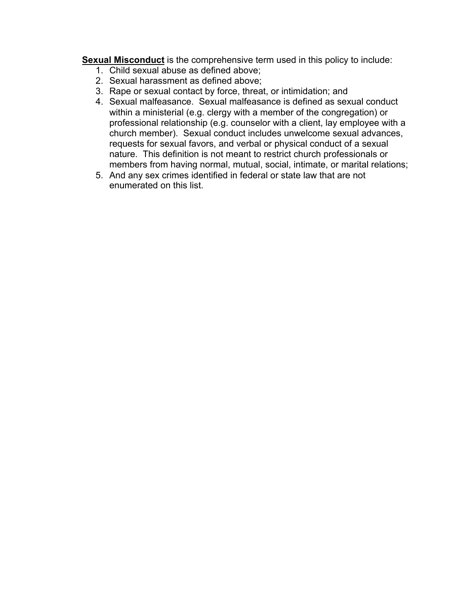**Sexual Misconduct** is the comprehensive term used in this policy to include:

- 1. Child sexual abuse as defined above;
- 2. Sexual harassment as defined above;
- 3. Rape or sexual contact by force, threat, or intimidation; and
- 4. Sexual malfeasance. Sexual malfeasance is defined as sexual conduct within a ministerial (e.g. clergy with a member of the congregation) or professional relationship (e.g. counselor with a client, lay employee with a church member). Sexual conduct includes unwelcome sexual advances, requests for sexual favors, and verbal or physical conduct of a sexual nature. This definition is not meant to restrict church professionals or members from having normal, mutual, social, intimate, or marital relations;
- 5. And any sex crimes identified in federal or state law that are not enumerated on this list.